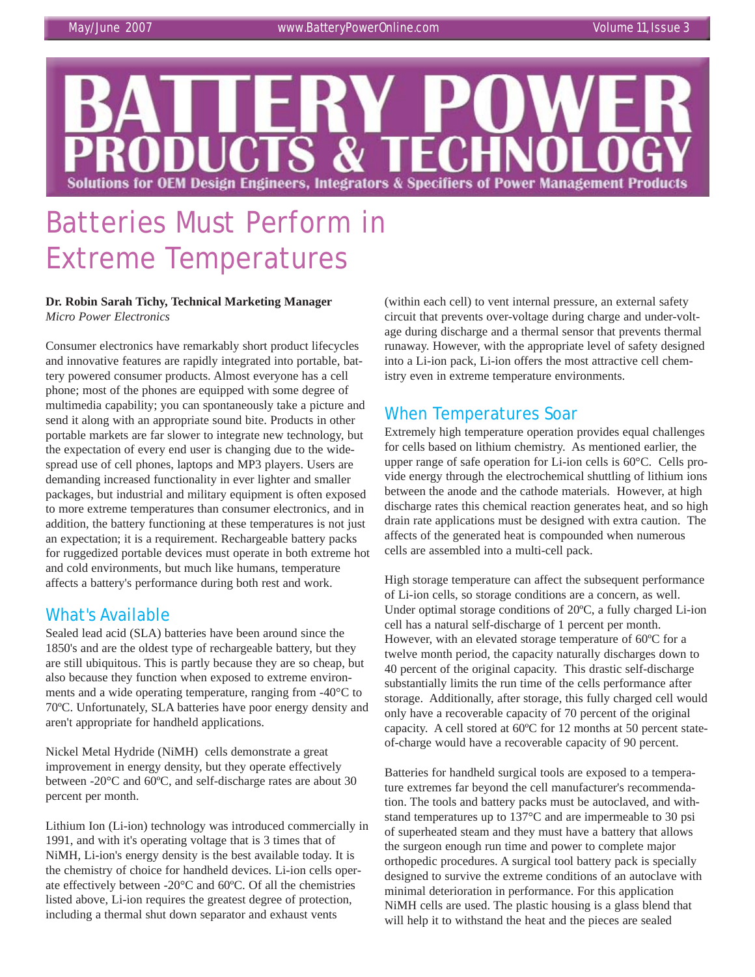# **OEM Design Engineers, Integrators & Specifiers of Power Management**

## Batteries Must Perform in Extreme Temperatures

#### **Dr. Robin Sarah Tichy, Technical Marketing Manager**

*Micro Power Electronics*

Consumer electronics have remarkably short product lifecycles and innovative features are rapidly integrated into portable, battery powered consumer products. Almost everyone has a cell phone; most of the phones are equipped with some degree of multimedia capability; you can spontaneously take a picture and send it along with an appropriate sound bite. Products in other portable markets are far slower to integrate new technology, but the expectation of every end user is changing due to the widespread use of cell phones, laptops and MP3 players. Users are demanding increased functionality in ever lighter and smaller packages, but industrial and military equipment is often exposed to more extreme temperatures than consumer electronics, and in addition, the battery functioning at these temperatures is not just an expectation; it is a requirement. Rechargeable battery packs for ruggedized portable devices must operate in both extreme hot and cold environments, but much like humans, temperature affects a battery's performance during both rest and work.

#### What's Available

Sealed lead acid (SLA) batteries have been around since the 1850's and are the oldest type of rechargeable battery, but they are still ubiquitous. This is partly because they are so cheap, but also because they function when exposed to extreme environments and a wide operating temperature, ranging from -40°C to 70ºC. Unfortunately, SLA batteries have poor energy density and aren't appropriate for handheld applications.

Nickel Metal Hydride (NiMH) cells demonstrate a great improvement in energy density, but they operate effectively between -20°C and 60ºC, and self-discharge rates are about 30 percent per month.

Lithium Ion (Li-ion) technology was introduced commercially in 1991, and with it's operating voltage that is 3 times that of NiMH, Li-ion's energy density is the best available today. It is the chemistry of choice for handheld devices. Li-ion cells operate effectively between -20°C and 60ºC. Of all the chemistries listed above, Li-ion requires the greatest degree of protection, including a thermal shut down separator and exhaust vents

(within each cell) to vent internal pressure, an external safety circuit that prevents over-voltage during charge and under-voltage during discharge and a thermal sensor that prevents thermal runaway. However, with the appropriate level of safety designed into a Li-ion pack, Li-ion offers the most attractive cell chemistry even in extreme temperature environments.

### When Temperatures Soar

Extremely high temperature operation provides equal challenges for cells based on lithium chemistry. As mentioned earlier, the upper range of safe operation for Li-ion cells is 60°C. Cells provide energy through the electrochemical shuttling of lithium ions between the anode and the cathode materials. However, at high discharge rates this chemical reaction generates heat, and so high drain rate applications must be designed with extra caution. The affects of the generated heat is compounded when numerous cells are assembled into a multi-cell pack.

High storage temperature can affect the subsequent performance of Li-ion cells, so storage conditions are a concern, as well. Under optimal storage conditions of 20ºC, a fully charged Li-ion cell has a natural self-discharge of 1 percent per month. However, with an elevated storage temperature of 60ºC for a twelve month period, the capacity naturally discharges down to 40 percent of the original capacity. This drastic self-discharge substantially limits the run time of the cells performance after storage. Additionally, after storage, this fully charged cell would only have a recoverable capacity of 70 percent of the original capacity. A cell stored at 60ºC for 12 months at 50 percent stateof-charge would have a recoverable capacity of 90 percent.

Batteries for handheld surgical tools are exposed to a temperature extremes far beyond the cell manufacturer's recommendation. The tools and battery packs must be autoclaved, and withstand temperatures up to 137°C and are impermeable to 30 psi of superheated steam and they must have a battery that allows the surgeon enough run time and power to complete major orthopedic procedures. A surgical tool battery pack is specially designed to survive the extreme conditions of an autoclave with minimal deterioration in performance. For this application NiMH cells are used. The plastic housing is a glass blend that will help it to withstand the heat and the pieces are sealed